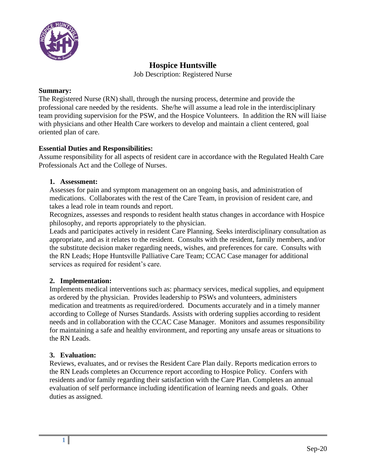

## **Hospice Huntsville**

Job Description: Registered Nurse

#### **Summary:**

The Registered Nurse (RN) shall, through the nursing process, determine and provide the professional care needed by the residents. She/he will assume a lead role in the interdisciplinary team providing supervision for the PSW, and the Hospice Volunteers. In addition the RN will liaise with physicians and other Health Care workers to develop and maintain a client centered, goal oriented plan of care.

### **Essential Duties and Responsibilities:**

Assume responsibility for all aspects of resident care in accordance with the Regulated Health Care Professionals Act and the College of Nurses.

#### **1. Assessment:**

Assesses for pain and symptom management on an ongoing basis, and administration of medications. Collaborates with the rest of the Care Team, in provision of resident care, and takes a lead role in team rounds and report.

Recognizes, assesses and responds to resident health status changes in accordance with Hospice philosophy, and reports appropriately to the physician.

Leads and participates actively in resident Care Planning. Seeks interdisciplinary consultation as appropriate, and as it relates to the resident. Consults with the resident, family members, and/or the substitute decision maker regarding needs, wishes, and preferences for care. Consults with the RN Leads; Hope Huntsville Palliative Care Team; CCAC Case manager for additional services as required for resident's care.

### **2. Implementation:**

Implements medical interventions such as: pharmacy services, medical supplies, and equipment as ordered by the physician. Provides leadership to PSWs and volunteers, administers medication and treatments as required/ordered. Documents accurately and in a timely manner according to College of Nurses Standards. Assists with ordering supplies according to resident needs and in collaboration with the CCAC Case Manager. Monitors and assumes responsibility for maintaining a safe and healthy environment, and reporting any unsafe areas or situations to the RN Leads.

#### **3. Evaluation:**

Reviews, evaluates, and or revises the Resident Care Plan daily. Reports medication errors to the RN Leads completes an Occurrence report according to Hospice Policy. Confers with residents and/or family regarding their satisfaction with the Care Plan. Completes an annual evaluation of self performance including identification of learning needs and goals. Other duties as assigned.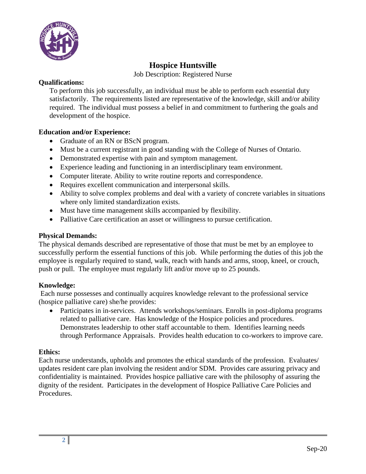

## **Hospice Huntsville**

Job Description: Registered Nurse

## **Qualifications:**

To perform this job successfully, an individual must be able to perform each essential duty satisfactorily. The requirements listed are representative of the knowledge, skill and/or ability required. The individual must possess a belief in and commitment to furthering the goals and development of the hospice.

## **Education and/or Experience:**

- Graduate of an RN or BScN program.
- Must be a current registrant in good standing with the College of Nurses of Ontario.
- Demonstrated expertise with pain and symptom management.
- Experience leading and functioning in an interdisciplinary team environment.
- Computer literate. Ability to write routine reports and correspondence.
- Requires excellent communication and interpersonal skills.
- Ability to solve complex problems and deal with a variety of concrete variables in situations where only limited standardization exists.
- Must have time management skills accompanied by flexibility.
- Palliative Care certification an asset or willingness to pursue certification.

### **Physical Demands:**

The physical demands described are representative of those that must be met by an employee to successfully perform the essential functions of this job. While performing the duties of this job the employee is regularly required to stand, walk, reach with hands and arms, stoop, kneel, or crouch, push or pull. The employee must regularly lift and/or move up to 25 pounds.

### **Knowledge:**

Each nurse possesses and continually acquires knowledge relevant to the professional service (hospice palliative care) she/he provides:

• Participates in in-services. Attends workshops/seminars. Enrolls in post-diploma programs related to palliative care. Has knowledge of the Hospice policies and procedures. Demonstrates leadership to other staff accountable to them. Identifies learning needs through Performance Appraisals. Provides health education to co-workers to improve care.

### **Ethics:**

Each nurse understands, upholds and promotes the ethical standards of the profession. Evaluates/ updates resident care plan involving the resident and/or SDM. Provides care assuring privacy and confidentiality is maintained. Provides hospice palliative care with the philosophy of assuring the dignity of the resident. Participates in the development of Hospice Palliative Care Policies and Procedures.